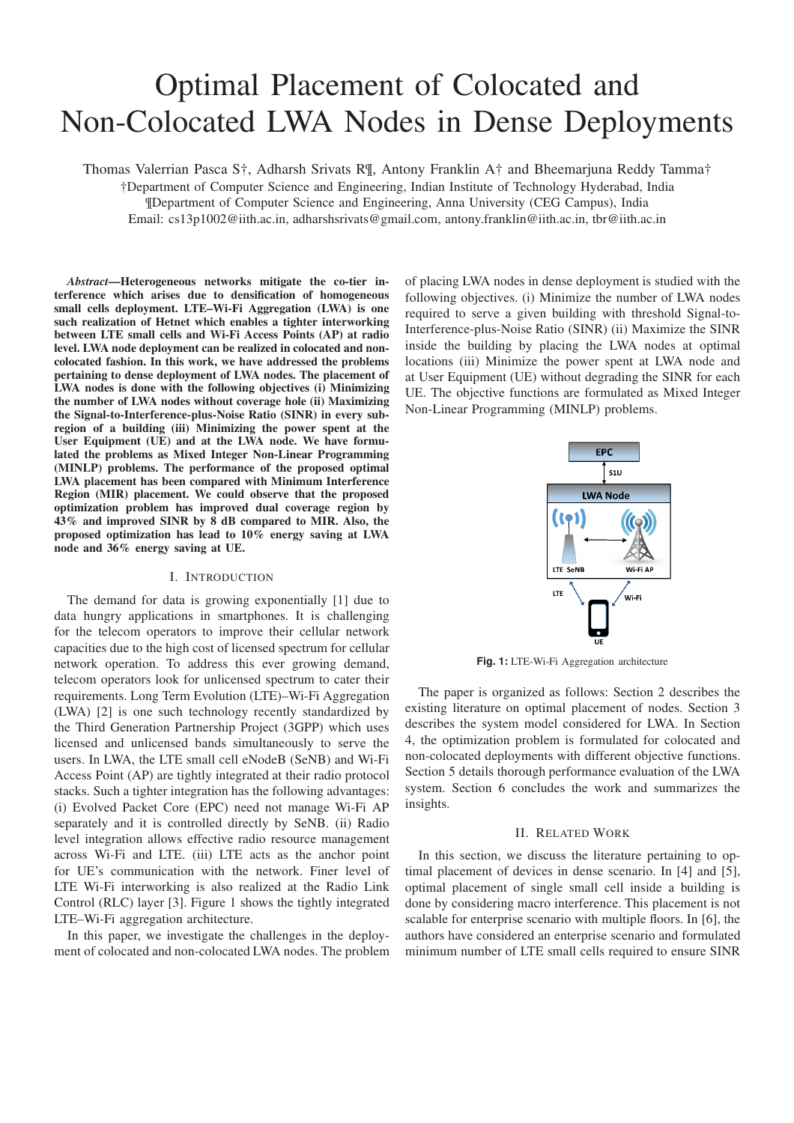# Optimal Placement of Colocated and Non-Colocated LWA Nodes in Dense Deployments

Thomas Valerrian Pasca S†, Adharsh Srivats R¶, Antony Franklin A† and Bheemarjuna Reddy Tamma†

†Department of Computer Science and Engineering, Indian Institute of Technology Hyderabad, India ¶Department of Computer Science and Engineering, Anna University (CEG Campus), India

Email: cs13p1002@iith.ac.in, adharshsrivats@gmail.com, antony.franklin@iith.ac.in, tbr@iith.ac.in

*Abstract*—Heterogeneous networks mitigate the co-tier interference which arises due to densification of homogeneous small cells deployment. LTE–Wi-Fi Aggregation (LWA) is one such realization of Hetnet which enables a tighter interworking between LTE small cells and Wi-Fi Access Points (AP) at radio level. LWA node deployment can be realized in colocated and noncolocated fashion. In this work, we have addressed the problems pertaining to dense deployment of LWA nodes. The placement of LWA nodes is done with the following objectives (i) Minimizing the number of LWA nodes without coverage hole (ii) Maximizing the Signal-to-Interference-plus-Noise Ratio (SINR) in every subregion of a building (iii) Minimizing the power spent at the User Equipment (UE) and at the LWA node. We have formulated the problems as Mixed Integer Non-Linear Programming (MINLP) problems. The performance of the proposed optimal LWA placement has been compared with Minimum Interference Region (MIR) placement. We could observe that the proposed optimization problem has improved dual coverage region by 43% and improved SINR by 8 dB compared to MIR. Also, the proposed optimization has lead to 10% energy saving at LWA node and 36% energy saving at UE.

## I. INTRODUCTION

The demand for data is growing exponentially [1] due to data hungry applications in smartphones. It is challenging for the telecom operators to improve their cellular network capacities due to the high cost of licensed spectrum for cellular network operation. To address this ever growing demand, telecom operators look for unlicensed spectrum to cater their requirements. Long Term Evolution (LTE)–Wi-Fi Aggregation (LWA) [2] is one such technology recently standardized by the Third Generation Partnership Project (3GPP) which uses licensed and unlicensed bands simultaneously to serve the users. In LWA, the LTE small cell eNodeB (SeNB) and Wi-Fi Access Point (AP) are tightly integrated at their radio protocol stacks. Such a tighter integration has the following advantages: (i) Evolved Packet Core (EPC) need not manage Wi-Fi AP separately and it is controlled directly by SeNB. (ii) Radio level integration allows effective radio resource management across Wi-Fi and LTE. (iii) LTE acts as the anchor point for UE's communication with the network. Finer level of LTE Wi-Fi interworking is also realized at the Radio Link Control (RLC) layer [3]. Figure 1 shows the tightly integrated LTE–Wi-Fi aggregation architecture.

In this paper, we investigate the challenges in the deployment of colocated and non-colocated LWA nodes. The problem of placing LWA nodes in dense deployment is studied with the following objectives. (i) Minimize the number of LWA nodes required to serve a given building with threshold Signal-to-Interference-plus-Noise Ratio (SINR) (ii) Maximize the SINR inside the building by placing the LWA nodes at optimal locations (iii) Minimize the power spent at LWA node and at User Equipment (UE) without degrading the SINR for each UE. The objective functions are formulated as Mixed Integer Non-Linear Programming (MINLP) problems.



**Fig. 1:** LTE-Wi-Fi Aggregation architecture

The paper is organized as follows: Section 2 describes the existing literature on optimal placement of nodes. Section 3 describes the system model considered for LWA. In Section 4, the optimization problem is formulated for colocated and non-colocated deployments with different objective functions. Section 5 details thorough performance evaluation of the LWA system. Section 6 concludes the work and summarizes the insights.

# II. RELATED WORK

In this section, we discuss the literature pertaining to optimal placement of devices in dense scenario. In [4] and [5], optimal placement of single small cell inside a building is done by considering macro interference. This placement is not scalable for enterprise scenario with multiple floors. In [6], the authors have considered an enterprise scenario and formulated minimum number of LTE small cells required to ensure SINR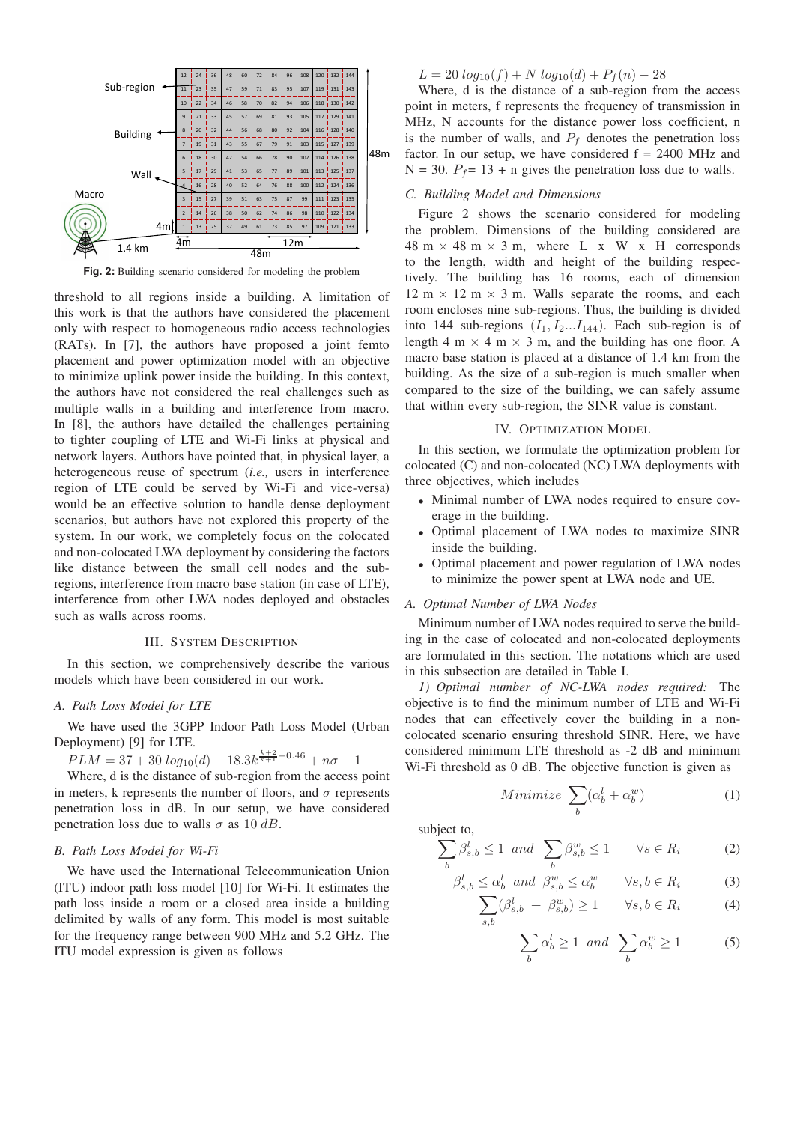

**Fig. 2:** Building scenario considered for modeling the problem

threshold to all regions inside a building. A limitation of this work is that the authors have considered the placement only with respect to homogeneous radio access technologies (RATs). In [7], the authors have proposed a joint femto placement and power optimization model with an objective to minimize uplink power inside the building. In this context, the authors have not considered the real challenges such as multiple walls in a building and interference from macro. In [8], the authors have detailed the challenges pertaining to tighter coupling of LTE and Wi-Fi links at physical and network layers. Authors have pointed that, in physical layer, a heterogeneous reuse of spectrum (*i.e.,* users in interference region of LTE could be served by Wi-Fi and vice-versa) would be an effective solution to handle dense deployment scenarios, but authors have not explored this property of the system. In our work, we completely focus on the colocated and non-colocated LWA deployment by considering the factors like distance between the small cell nodes and the subregions, interference from macro base station (in case of LTE), interference from other LWA nodes deployed and obstacles such as walls across rooms.

#### III. SYSTEM DESCRIPTION

In this section, we comprehensively describe the various models which have been considered in our work.

# *A. Path Loss Model for LTE*

We have used the 3GPP Indoor Path Loss Model (Urban Deployment) [9] for LTE.

 $PLM = 37 + 30 log_{10}(d) + 18.3k^{\frac{k+2}{k+1} - 0.46} + n\sigma - 1$ 

Where, d is the distance of sub-region from the access point in meters, k represents the number of floors, and  $\sigma$  represents penetration loss in dB. In our setup, we have considered penetration loss due to walls  $\sigma$  as 10 dB.

# *B. Path Loss Model for Wi-Fi*

We have used the International Telecommunication Union (ITU) indoor path loss model [10] for Wi-Fi. It estimates the path loss inside a room or a closed area inside a building delimited by walls of any form. This model is most suitable for the frequency range between 900 MHz and 5.2 GHz. The ITU model expression is given as follows

 $L = 20 log_{10}(f) + N log_{10}(d) + P_f(n) - 28$ 

Where, d is the distance of a sub-region from the access point in meters, f represents the frequency of transmission in MHz, N accounts for the distance power loss coefficient, n is the number of walls, and  $P_f$  denotes the penetration loss factor. In our setup, we have considered  $f = 2400$  MHz and  $N = 30$ .  $P_f = 13 + n$  gives the penetration loss due to walls.

#### *C. Building Model and Dimensions*

Figure 2 shows the scenario considered for modeling the problem. Dimensions of the building considered are  $48 \text{ m} \times 48 \text{ m} \times 3 \text{ m}$ , where L x W x H corresponds to the length, width and height of the building respectively. The building has 16 rooms, each of dimension  $12 \text{ m} \times 12 \text{ m} \times 3 \text{ m}$ . Walls separate the rooms, and each room encloses nine sub-regions. Thus, the building is divided into 144 sub-regions  $(I_1, I_2...I_{144})$ . Each sub-region is of length 4 m  $\times$  4 m  $\times$  3 m, and the building has one floor. A macro base station is placed at a distance of 1.4 km from the building. As the size of a sub-region is much smaller when compared to the size of the building, we can safely assume that within every sub-region, the SINR value is constant.

#### IV. OPTIMIZATION MODEL

In this section, we formulate the optimization problem for colocated (C) and non-colocated (NC) LWA deployments with three objectives, which includes

- Minimal number of LWA nodes required to ensure coverage in the building.
- Optimal placement of LWA nodes to maximize SINR inside the building.
- Optimal placement and power regulation of LWA nodes to minimize the power spent at LWA node and UE.

# *A. Optimal Number of LWA Nodes*

Minimum number of LWA nodes required to serve the building in the case of colocated and non-colocated deployments are formulated in this section. The notations which are used in this subsection are detailed in Table I.

*1) Optimal number of NC-LWA nodes required:* The objective is to find the minimum number of LTE and Wi-Fi nodes that can effectively cover the building in a noncolocated scenario ensuring threshold SINR. Here, we have considered minimum LTE threshold as -2 dB and minimum Wi-Fi threshold as 0 dB. The objective function is given as

$$
Minimize \sum_{b} (\alpha_b^l + \alpha_b^w) \tag{1}
$$

subject to,

$$
\sum_{b} \beta_{s,b}^{l} \le 1 \quad and \quad \sum_{b} \beta_{s,b}^{w} \le 1 \qquad \forall s \in R_{i} \tag{2}
$$

$$
\beta_{s,b}^l \le \alpha_b^l \quad \text{and} \quad \beta_{s,b}^w \le \alpha_b^w \qquad \forall s, b \in R_i \tag{3}
$$

$$
\sum_{s,b} (\beta_{s,b}^l + \beta_{s,b}^w) \ge 1 \qquad \forall s, b \in R_i \tag{4}
$$

$$
\sum_{b} \alpha_b^l \ge 1 \quad and \quad \sum_{b} \alpha_b^w \ge 1 \tag{5}
$$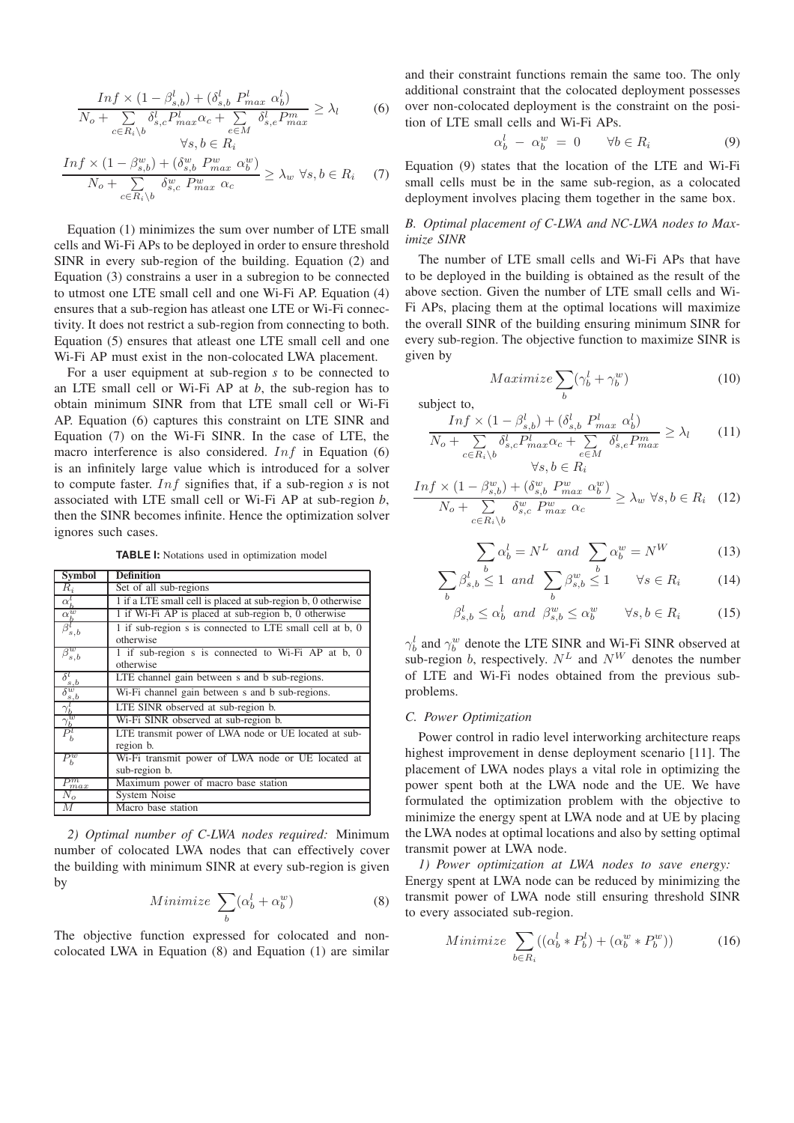$$
\frac{Inf \times (1 - \beta_{s,b}^l) + (\delta_{s,b}^l P_{max}^l \alpha_b^l)}{N_o + \sum_{c \in R_i \setminus b} \delta_{s,c}^l P_{max}^l \alpha_c + \sum_{e \in M} \delta_{s,e}^l P_{max}^m} \ge \lambda_l
$$
\n
$$
\forall s, b \in R_i
$$
\n(6)

$$
\frac{Inf \times (1 - \beta_{s,b}^w) + (\delta_{s,b}^w P_{max}^w \alpha_b^w)}{N_o + \sum_{c \in R_i \backslash b} \delta_{s,c}^w P_{max}^w \alpha_c} \ge \lambda_w \ \forall s, b \in R_i \tag{7}
$$

Equation (1) minimizes the sum over number of LTE small cells and Wi-Fi APs to be deployed in order to ensure threshold SINR in every sub-region of the building. Equation (2) and Equation (3) constrains a user in a subregion to be connected to utmost one LTE small cell and one Wi-Fi AP. Equation (4) ensures that a sub-region has atleast one LTE or Wi-Fi connectivity. It does not restrict a sub-region from connecting to both. Equation (5) ensures that atleast one LTE small cell and one Wi-Fi AP must exist in the non-colocated LWA placement.

For a user equipment at sub-region *s* to be connected to an LTE small cell or Wi-Fi AP at *b*, the sub-region has to obtain minimum SINR from that LTE small cell or Wi-Fi AP. Equation (6) captures this constraint on LTE SINR and Equation (7) on the Wi-Fi SINR. In the case of LTE, the macro interference is also considered.  $Inf$  in Equation (6) is an infinitely large value which is introduced for a solver to compute faster. Inf signifies that, if a sub-region *s* is not associated with LTE small cell or Wi-Fi AP at sub-region *b*, then the SINR becomes infinite. Hence the optimization solver ignores such cases.

**TABLE I:** Notations used in optimization model

| <b>Symbol</b>                       | <b>Definition</b>                                                     |
|-------------------------------------|-----------------------------------------------------------------------|
| $\overline{R}_i$                    | Set of all sub-regions                                                |
|                                     | 1 if a LTE small cell is placed at sub-region b, 0 otherwise          |
| $\frac{\alpha_b^l}{\alpha_b^w}$     | 1 if Wi-Fi AP is placed at sub-region b, 0 otherwise                  |
| $\beta^l_{s,b}$                     | 1 if sub-region s is connected to LTE small cell at b, 0<br>otherwise |
| $\beta^w_{s,b}$                     | 1 if sub-region s is connected to Wi-Fi AP at b, 0<br>otherwise       |
| $\frac{\delta_{s,b}^l}{\delta^{w}}$ | LTE channel gain between s and b sub-regions.                         |
| s, b                                | Wi-Fi channel gain between s and b sub-regions.                       |
| $\gamma^{\iota}_{b}$                | LTE SINR observed at sub-region b.                                    |
| $\gamma^w_b$                        | Wi-Fi SINR observed at sub-region b.                                  |
| $P_b^l$                             | LTE transmit power of LWA node or UE located at sub-<br>region b.     |
| $P_b^w$                             | Wi-Fi transmit power of LWA node or UE located at<br>sub-region b.    |
| $P_{max}^m$                         | Maximum power of macro base station                                   |
| $N_o$                               | <b>System Noise</b>                                                   |
| М                                   | Macro base station                                                    |

*2) Optimal number of C-LWA nodes required:* Minimum number of colocated LWA nodes that can effectively cover the building with minimum SINR at every sub-region is given by

Minimize 
$$
\sum_{b} (\alpha_b^l + \alpha_b^w)
$$
 (8)

The objective function expressed for colocated and noncolocated LWA in Equation (8) and Equation (1) are similar

and their constraint functions remain the same too. The only additional constraint that the colocated deployment possesses over non-colocated deployment is the constraint on the position of LTE small cells and Wi-Fi APs.

$$
\alpha_b^l - \alpha_b^w = 0 \qquad \forall b \in R_i \tag{9}
$$

Equation (9) states that the location of the LTE and Wi-Fi small cells must be in the same sub-region, as a colocated deployment involves placing them together in the same box.

# *B. Optimal placement of C-LWA and NC-LWA nodes to Maximize SINR*

The number of LTE small cells and Wi-Fi APs that have to be deployed in the building is obtained as the result of the above section. Given the number of LTE small cells and Wi-Fi APs, placing them at the optimal locations will maximize the overall SINR of the building ensuring minimum SINR for every sub-region. The objective function to maximize SINR is given by

$$
Maximize \sum_{b} (\gamma_b^l + \gamma_b^w) \tag{10}
$$

subject to,

$$
\frac{Inf \times (1 - \beta_{s,b}^l) + (\delta_{s,b}^l P_{max}^l \alpha_b^l)}{N_o + \sum_{c \in R_i \backslash b} \delta_{s,c}^l P_{max}^l \alpha_c + \sum_{e \in M} \delta_{s,e}^l P_{max}^m} \ge \lambda_l \qquad (11)
$$
\n
$$
\forall s, b \in R_i
$$

$$
\frac{Inf \times (1 - \beta_{s,b}^w) + (\delta_{s,b}^w P_{max}^w \alpha_b^w)}{N_o + \sum_{c \in R_i \setminus b} \delta_{s,c}^w P_{max}^w \alpha_c} \ge \lambda_w \ \forall s, b \in R_i \quad (12)
$$

$$
\sum_{b} \alpha_b^l = N^L \quad \text{and} \quad \sum_{b} \alpha_b^w = N^W \tag{13}
$$

$$
\sum_{b} \beta_{s,b}^{l} \le 1 \quad and \quad \sum_{b} \beta_{s,b}^{w} \le 1 \qquad \forall s \in R_{i} \tag{14}
$$

$$
\beta_{s,b}^l \le \alpha_b^l \quad \text{and} \quad \beta_{s,b}^w \le \alpha_b^w \qquad \forall s,b \in R_i \tag{15}
$$

 $\gamma_b^l$  and  $\gamma_b^w$  denote the LTE SINR and W<sub>1</sub>-Fi SINR observed at sub-region b, respectively.  $N^L$  and  $N^W$  denotes the number of LTE and Wi-Fi nodes obtained from the previous subproblems.

#### *C. Power Optimization*

Power control in radio level interworking architecture reaps highest improvement in dense deployment scenario [11]. The placement of LWA nodes plays a vital role in optimizing the power spent both at the LWA node and the UE. We have formulated the optimization problem with the objective to minimize the energy spent at LWA node and at UE by placing the LWA nodes at optimal locations and also by setting optimal transmit power at LWA node.

*1) Power optimization at LWA nodes to save energy:* Energy spent at LWA node can be reduced by minimizing the transmit power of LWA node still ensuring threshold SINR to every associated sub-region.

$$
Minimize \sum_{b \in R_i} ((\alpha_b^l * P_b^l) + (\alpha_b^w * P_b^w)) \tag{16}
$$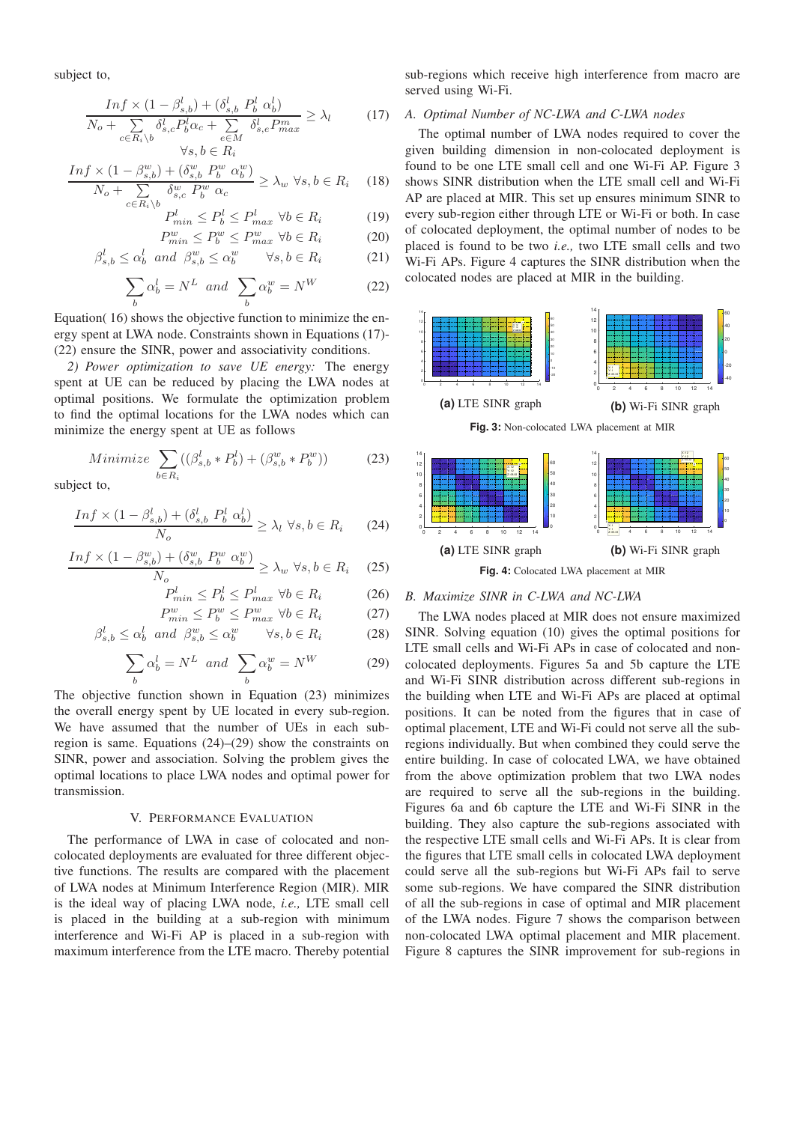subject to,

$$
\frac{Inf \times (1 - \beta_{s,b}^l) + (\delta_{s,b}^l P_b^l \alpha_b^l)}{N_o + \sum_{c \in R_i \setminus b} \delta_{s,c}^l P_b^l \alpha_c + \sum_{e \in M} \delta_{s,e}^l P_{max}^m} \ge \lambda_l \tag{17}
$$
\n
$$
\forall s, b \in R_i
$$

$$
\frac{Inf \times (1 - \beta_{s,b}^w) + (\delta_{s,b}^w P_b^w \alpha_b^w)}{N_o + \sum\limits_{c \in R_i \backslash b} \delta_{s,c}^w P_b^w \alpha_c} \ge \lambda_w \ \forall s, b \in R_i \quad (18)
$$

$$
P_{min}^l \le P_b^l \le P_{max}^l \ \forall b \in R_i \tag{19}
$$

$$
P_{min}^{w} \le P_b^w \le P_{max}^w \ \forall b \in R_i \tag{20}
$$

$$
\beta_{s,b}^l \le \alpha_b^l \quad \text{and} \quad \beta_{s,b}^w \le \alpha_b^w \qquad \forall s, b \in R_i \tag{21}
$$

$$
\sum_{b} \alpha_b^l = N^L \quad and \quad \sum_{b} \alpha_b^w = N^W \tag{22}
$$

Equation( 16) shows the objective function to minimize the energy spent at LWA node. Constraints shown in Equations (17)- (22) ensure the SINR, power and associativity conditions.

*2) Power optimization to save UE energy:* The energy spent at UE can be reduced by placing the LWA nodes at optimal positions. We formulate the optimization problem to find the optimal locations for the LWA nodes which can minimize the energy spent at UE as follows

$$
Minimize \sum_{b \in R_i} ((\beta_{s,b}^l * P_b^l) + (\beta_{s,b}^w * P_b^w))
$$
 (23)

subject to,

$$
\frac{Inf \times (1 - \beta_{s,b}^l) + (\delta_{s,b}^l \ P_b^l \ \alpha_b^l)}{N_o} \ge \lambda_l \ \forall s, b \in R_i \tag{24}
$$

$$
\frac{Inf \times (1 - \beta_{s,b}^w) + (\delta_{s,b}^w P_b^w \alpha_b^w)}{N_o} \ge \lambda_w \ \forall s, b \in R_i \quad (25)
$$

$$
P_{min}^l \le P_b^l \le P_{max}^l \ \forall b \in R_i \tag{26}
$$

$$
P_{min}^{w} \le P_b^w \le P_{max}^w \ \forall b \in R_i \tag{27}
$$

$$
\beta_{s,b}^l \le \alpha_b^l \quad and \quad \beta_{s,b}^w \le \alpha_b^w \qquad \forall s, b \in R_i \tag{28}
$$

$$
\sum_{b} \alpha_b^l = N^L \quad and \quad \sum_{b} \alpha_b^w = N^W \tag{29}
$$

The objective function shown in Equation (23) minimizes the overall energy spent by UE located in every sub-region. We have assumed that the number of UEs in each subregion is same. Equations (24)–(29) show the constraints on SINR, power and association. Solving the problem gives the optimal locations to place LWA nodes and optimal power for transmission.

# V. PERFORMANCE EVALUATION

The performance of LWA in case of colocated and noncolocated deployments are evaluated for three different objective functions. The results are compared with the placement of LWA nodes at Minimum Interference Region (MIR). MIR is the ideal way of placing LWA node, *i.e.,* LTE small cell is placed in the building at a sub-region with minimum interference and Wi-Fi AP is placed in a sub-region with maximum interference from the LTE macro. Thereby potential

sub-regions which receive high interference from macro are served using Wi-Fi.

# *A. Optimal Number of NC-LWA and C-LWA nodes*

The optimal number of LWA nodes required to cover the given building dimension in non-colocated deployment is found to be one LTE small cell and one Wi-Fi AP. Figure 3 shows SINR distribution when the LTE small cell and Wi-Fi AP are placed at MIR. This set up ensures minimum SINR to every sub-region either through LTE or Wi-Fi or both. In case of colocated deployment, the optimal number of nodes to be placed is found to be two *i.e.,* two LTE small cells and two Wi-Fi APs. Figure 4 captures the SINR distribution when the colocated nodes are placed at MIR in the building.



# **Fig. 4:** Colocated LWA placement at MIR

# *B. Maximize SINR in C-LWA and NC-LWA*

The LWA nodes placed at MIR does not ensure maximized SINR. Solving equation (10) gives the optimal positions for LTE small cells and Wi-Fi APs in case of colocated and noncolocated deployments. Figures 5a and 5b capture the LTE and Wi-Fi SINR distribution across different sub-regions in the building when LTE and Wi-Fi APs are placed at optimal positions. It can be noted from the figures that in case of optimal placement, LTE and Wi-Fi could not serve all the subregions individually. But when combined they could serve the entire building. In case of colocated LWA, we have obtained from the above optimization problem that two LWA nodes are required to serve all the sub-regions in the building. Figures 6a and 6b capture the LTE and Wi-Fi SINR in the building. They also capture the sub-regions associated with the respective LTE small cells and Wi-Fi APs. It is clear from the figures that LTE small cells in colocated LWA deployment could serve all the sub-regions but Wi-Fi APs fail to serve some sub-regions. We have compared the SINR distribution of all the sub-regions in case of optimal and MIR placement of the LWA nodes. Figure 7 shows the comparison between non-colocated LWA optimal placement and MIR placement. Figure 8 captures the SINR improvement for sub-regions in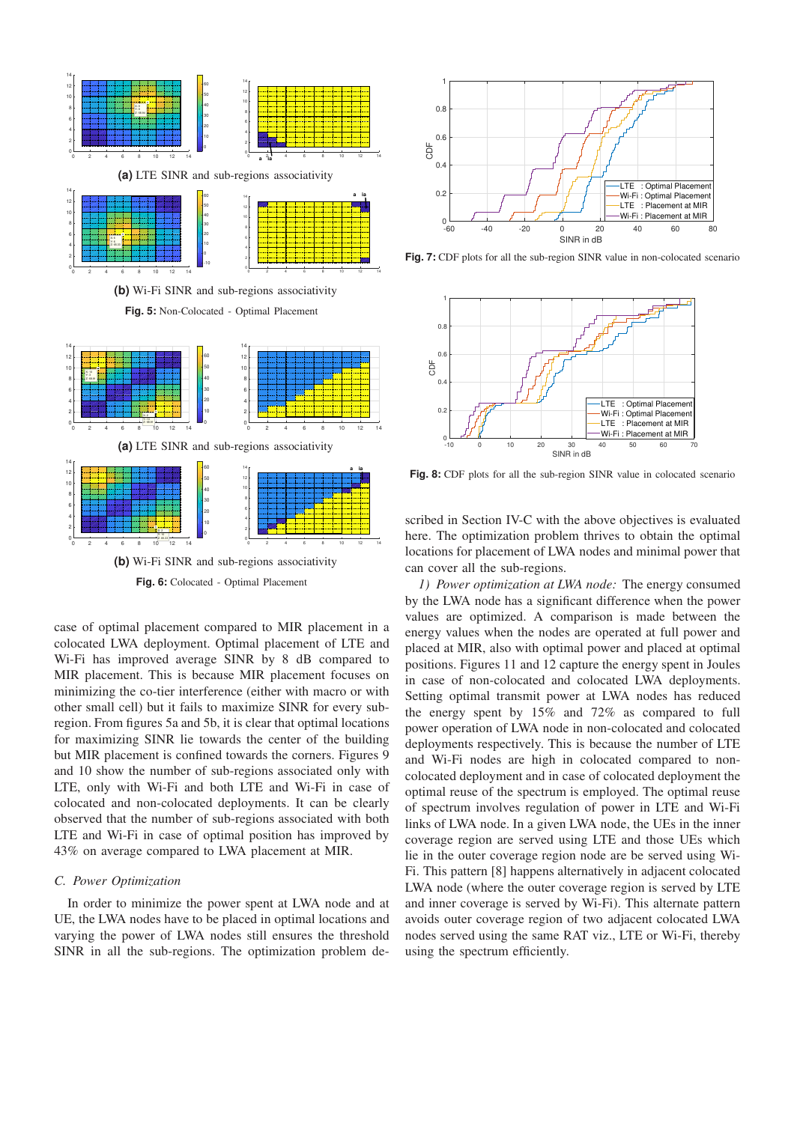

**Fig. 6:** Colocated - Optimal Placement

case of optimal placement compared to MIR placement in a colocated LWA deployment. Optimal placement of LTE and Wi-Fi has improved average SINR by 8 dB compared to MIR placement. This is because MIR placement focuses on minimizing the co-tier interference (either with macro or with other small cell) but it fails to maximize SINR for every subregion. From figures 5a and 5b, it is clear that optimal locations for maximizing SINR lie towards the center of the building but MIR placement is confined towards the corners. Figures 9 and 10 show the number of sub-regions associated only with LTE, only with Wi-Fi and both LTE and Wi-Fi in case of colocated and non-colocated deployments. It can be clearly observed that the number of sub-regions associated with both LTE and Wi-Fi in case of optimal position has improved by 43% on average compared to LWA placement at MIR.

# *C. Power Optimization*

In order to minimize the power spent at LWA node and at UE, the LWA nodes have to be placed in optimal locations and varying the power of LWA nodes still ensures the threshold SINR in all the sub-regions. The optimization problem de-



**Fig. 7:** CDF plots for all the sub-region SINR value in non-colocated scenario



Fig. 8: CDF plots for all the sub-region SINR value in colocated scenario

scribed in Section IV-C with the above objectives is evaluated here. The optimization problem thrives to obtain the optimal locations for placement of LWA nodes and minimal power that can cover all the sub-regions.

*1) Power optimization at LWA node:* The energy consumed by the LWA node has a significant difference when the power values are optimized. A comparison is made between the energy values when the nodes are operated at full power and placed at MIR, also with optimal power and placed at optimal positions. Figures 11 and 12 capture the energy spent in Joules in case of non-colocated and colocated LWA deployments. Setting optimal transmit power at LWA nodes has reduced the energy spent by 15% and 72% as compared to full power operation of LWA node in non-colocated and colocated deployments respectively. This is because the number of LTE and Wi-Fi nodes are high in colocated compared to noncolocated deployment and in case of colocated deployment the optimal reuse of the spectrum is employed. The optimal reuse of spectrum involves regulation of power in LTE and Wi-Fi links of LWA node. In a given LWA node, the UEs in the inner coverage region are served using LTE and those UEs which lie in the outer coverage region node are be served using Wi-Fi. This pattern [8] happens alternatively in adjacent colocated LWA node (where the outer coverage region is served by LTE and inner coverage is served by Wi-Fi). This alternate pattern avoids outer coverage region of two adjacent colocated LWA nodes served using the same RAT viz., LTE or Wi-Fi, thereby using the spectrum efficiently.